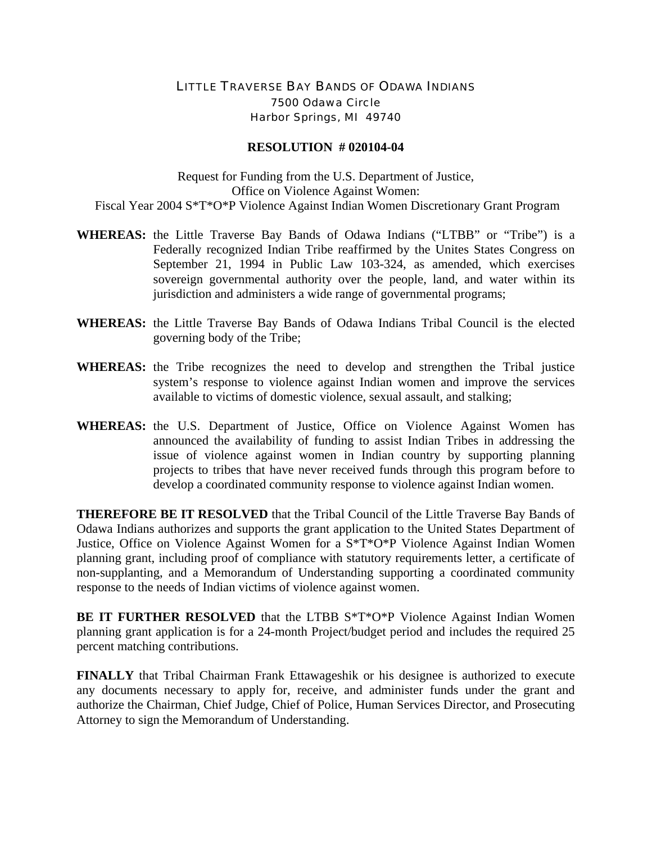## LITTLE TRAVERSE BAY BANDS OF ODAWA INDIANS 7500 Odawa Circle Harbor Springs, MI 49740

## **RESOLUTION # 020104-04**

Request for Funding from the U.S. Department of Justice, Office on Violence Against Women: Fiscal Year 2004 S\*T\*O\*P Violence Against Indian Women Discretionary Grant Program

- **WHEREAS:** the Little Traverse Bay Bands of Odawa Indians ("LTBB" or "Tribe") is a Federally recognized Indian Tribe reaffirmed by the Unites States Congress on September 21, 1994 in Public Law 103-324, as amended, which exercises sovereign governmental authority over the people, land, and water within its jurisdiction and administers a wide range of governmental programs;
- **WHEREAS:** the Little Traverse Bay Bands of Odawa Indians Tribal Council is the elected governing body of the Tribe;
- **WHEREAS:** the Tribe recognizes the need to develop and strengthen the Tribal justice system's response to violence against Indian women and improve the services available to victims of domestic violence, sexual assault, and stalking;
- **WHEREAS:** the U.S. Department of Justice, Office on Violence Against Women has announced the availability of funding to assist Indian Tribes in addressing the issue of violence against women in Indian country by supporting planning projects to tribes that have never received funds through this program before to develop a coordinated community response to violence against Indian women.

**THEREFORE BE IT RESOLVED** that the Tribal Council of the Little Traverse Bay Bands of Odawa Indians authorizes and supports the grant application to the United States Department of Justice, Office on Violence Against Women for a S\*T\*O\*P Violence Against Indian Women planning grant, including proof of compliance with statutory requirements letter, a certificate of non-supplanting, and a Memorandum of Understanding supporting a coordinated community response to the needs of Indian victims of violence against women.

**BE IT FURTHER RESOLVED** that the LTBB S\*T\*O\*P Violence Against Indian Women planning grant application is for a 24-month Project/budget period and includes the required 25 percent matching contributions.

**FINALLY** that Tribal Chairman Frank Ettawageshik or his designee is authorized to execute any documents necessary to apply for, receive, and administer funds under the grant and authorize the Chairman, Chief Judge, Chief of Police, Human Services Director, and Prosecuting Attorney to sign the Memorandum of Understanding.